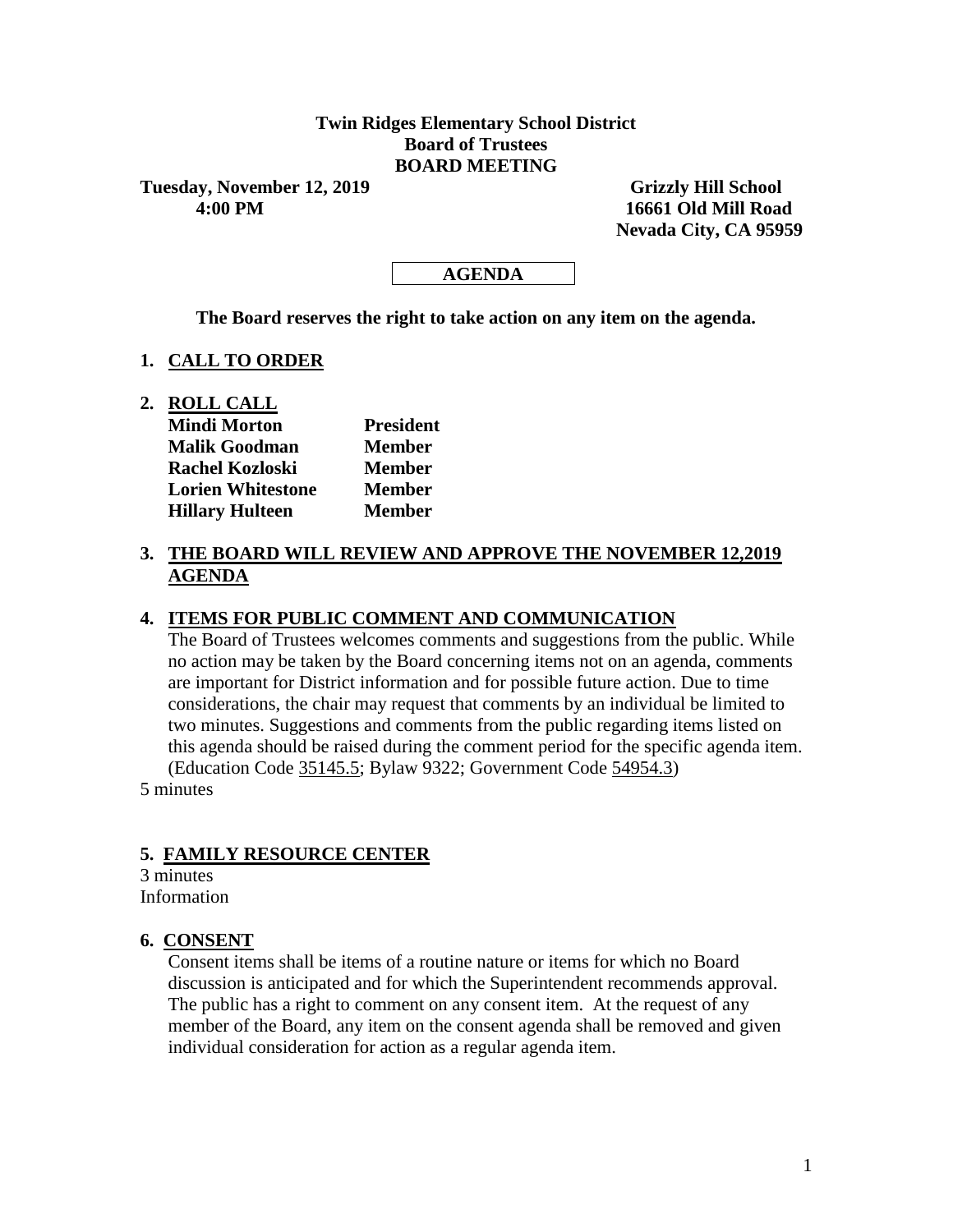## **Twin Ridges Elementary School District Board of Trustees BOARD MEETING**

**Tuesday, November 12, 2019 Grizzly Hill School 4:00 PM 16661 Old Mill Road**

 **Nevada City, CA 95959**

### **AGENDA**

**The Board reserves the right to take action on any item on the agenda.**

#### **1. CALL TO ORDER**

**2. ROLL CALL**

| <b>Mindi Morton</b>      | <b>President</b> |  |  |  |
|--------------------------|------------------|--|--|--|
| <b>Malik Goodman</b>     | <b>Member</b>    |  |  |  |
| <b>Rachel Kozloski</b>   | <b>Member</b>    |  |  |  |
| <b>Lorien Whitestone</b> | Member           |  |  |  |
| <b>Hillary Hulteen</b>   | <b>Member</b>    |  |  |  |

# **3. THE BOARD WILL REVIEW AND APPROVE THE NOVEMBER 12,2019 AGENDA**

### **4. ITEMS FOR PUBLIC COMMENT AND COMMUNICATION**

The Board of Trustees welcomes comments and suggestions from the public. While no action may be taken by the Board concerning items not on an agenda, comments are important for District information and for possible future action. Due to time considerations, the chair may request that comments by an individual be limited to two minutes. Suggestions and comments from the public regarding items listed on this agenda should be raised during the comment period for the specific agenda item. (Education Code 35145.5; Bylaw 9322; Government Code 54954.3)

5 minutes

### **5. FAMILY RESOURCE CENTER**

3 minutes Information

#### **6. CONSENT**

Consent items shall be items of a routine nature or items for which no Board discussion is anticipated and for which the Superintendent recommends approval. The public has a right to comment on any consent item. At the request of any member of the Board, any item on the consent agenda shall be removed and given individual consideration for action as a regular agenda item.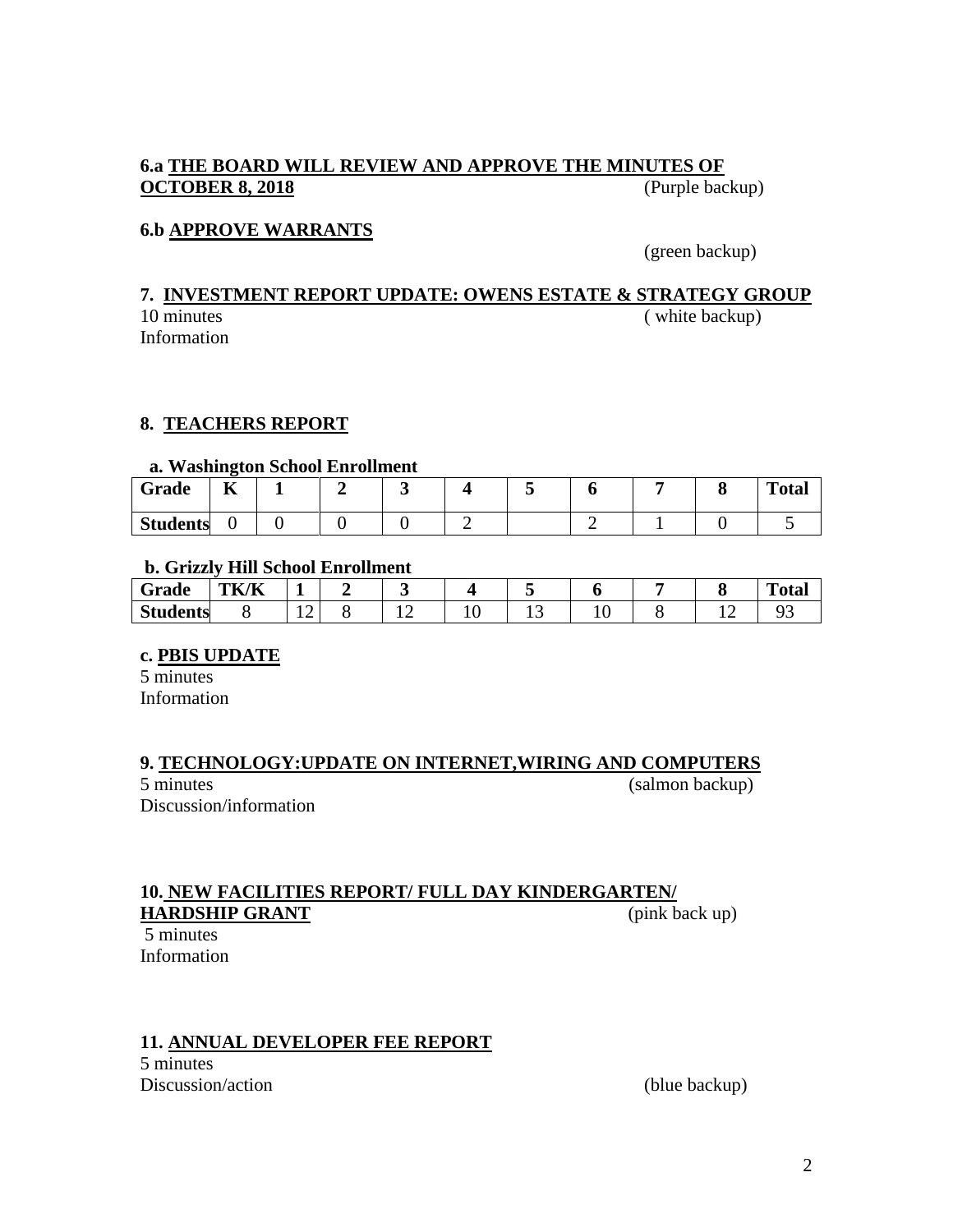# **6.a THE BOARD WILL REVIEW AND APPROVE THE MINUTES OF OCTOBER 8, 2018** (Purple backup)

# **6.b APPROVE WARRANTS**

(green backup)

# **7. INVESTMENT REPORT UPDATE: OWENS ESTATE & STRATEGY GROUP** 10 minutes (white backup)

Information

# **8. TEACHERS REPORT**

#### **a. Washington School Enrollment**

| Grade           | $-$<br>n |  |  |  |  | <b>Total</b> |
|-----------------|----------|--|--|--|--|--------------|
| <b>Students</b> |          |  |  |  |  |              |

### **b. Grizzly Hill School Enrollment**

| -<br>Grade      | $T\mathbf{U}$ $\mathbf{V}$<br>'K<br>--- | -          |     |          |     |     |  | <b>TIME</b><br>''otal |
|-----------------|-----------------------------------------|------------|-----|----------|-----|-----|--|-----------------------|
| <b>Students</b> |                                         | $\epsilon$ | . . | ◡<br>. . | ⊥ J | * ∙ |  | $\sim$                |

### **c. PBIS UPDATE**

5 minutes Information

### **9. TECHNOLOGY:UPDATE ON INTERNET,WIRING AND COMPUTERS**

5 minutes (salmon backup) Discussion/information

### **10. NEW FACILITIES REPORT/ FULL DAY KINDERGARTEN/ HARDSHIP GRANT** (pink back up)

5 minutes Information

# **11. ANNUAL DEVELOPER FEE REPORT**

5 minutes Discussion/action (blue backup)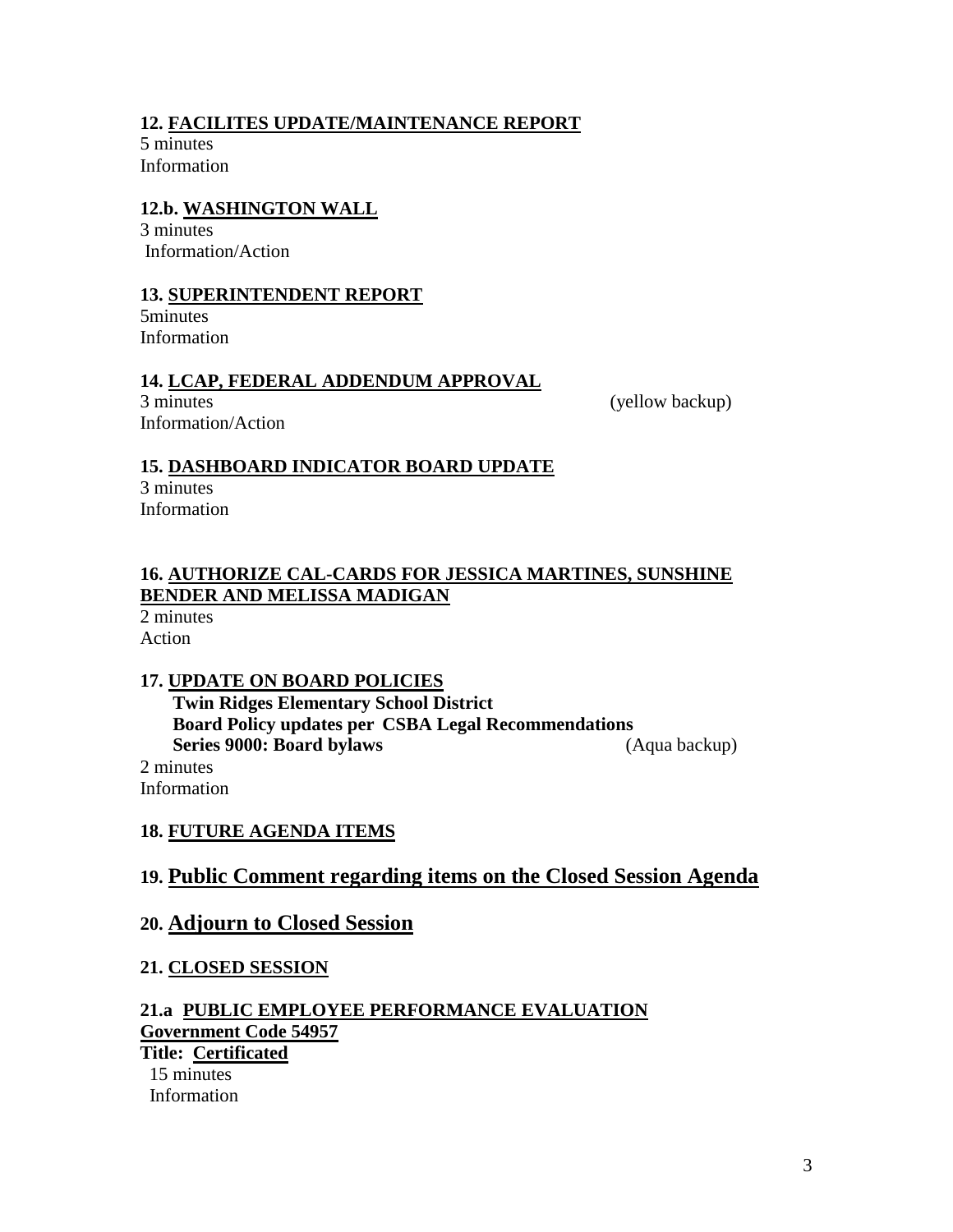# **12. FACILITES UPDATE/MAINTENANCE REPORT**

5 minutes Information

# **12.b. WASHINGTON WALL**

3 minutes Information/Action

## **13. SUPERINTENDENT REPORT**

5minutes Information

### **14. LCAP, FEDERAL ADDENDUM APPROVAL**

3 minutes (yellow backup) Information/Action

### **15. DASHBOARD INDICATOR BOARD UPDATE**

3 minutes Information

# **16. AUTHORIZE CAL-CARDS FOR JESSICA MARTINES, SUNSHINE BENDER AND MELISSA MADIGAN**

2 minutes Action

# **17. UPDATE ON BOARD POLICIES**

 **Twin Ridges Elementary School District Board Policy updates per CSBA Legal Recommendations Series 9000: Board bylaws** (Aqua backup) 2 minutes Information

# **18. FUTURE AGENDA ITEMS**

# **19. Public Comment regarding items on the Closed Session Agenda**

# **20. Adjourn to Closed Session**

### **21. CLOSED SESSION**

### **21.a PUBLIC EMPLOYEE PERFORMANCE EVALUATION Government Code 54957 Title: Certificated**

15 minutes Information